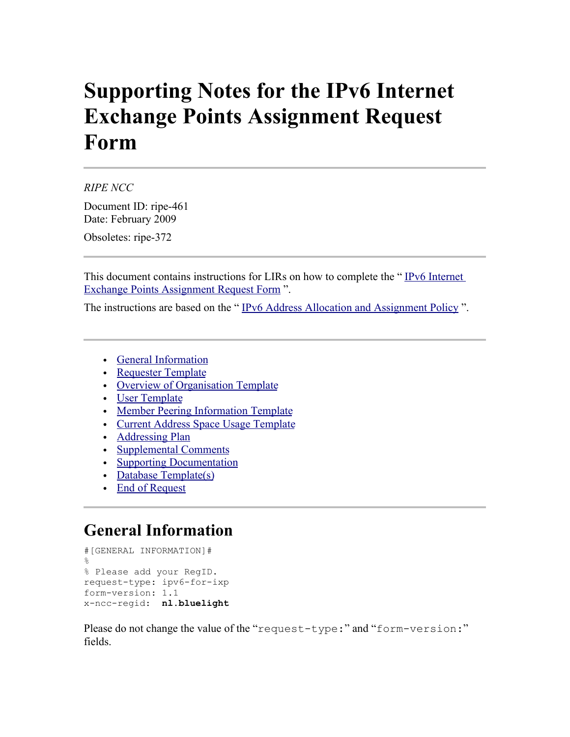# **Supporting Notes for the IPv6 Internet Exchange Points Assignment Request Form**

*RIPE NCC*

Document ID: ripe-461 Date: February 2009

Obsoletes: ripe-372

This document contains instructions for LIRs on how to complete the "IPv6 Internet [Exchange Points Assignment Request Form](http://www.ripe.net/ripe/docs/ipv6request-exchangepoint.html) ".

The instructions are based on the " [IPv6 Address Allocation and Assignment Policy](http://ripe.net/ripe/docs/ipv6-policy.html) ".

- [General Information](#page-0-0)
- • [Requester Template](#page-1-1)
- [Overview of Organisation Template](#page-1-0)
- [User Template](#page-2-1)
- [Member Peering Information Template](#page-2-0)
- [Current Address Space Usage Template](#page-3-1)
- • [Addressing Plan](#page-3-0)
- [Supplemental Comments](#page-4-2)
- [Supporting Documentation](#page-4-1)
- • [Database Template\(s\)](#page-4-0)
- • [End of Request](#page-6-0)

#### <span id="page-0-0"></span>**General Information**

```
#[GENERAL INFORMATION]#
\approx% Please add your RegID.
request-type: ipv6-for-ixp
form-version: 1.1
x-ncc-regid: nl.bluelight
```
Please do not change the value of the "request-type:" and "form-version:" fields.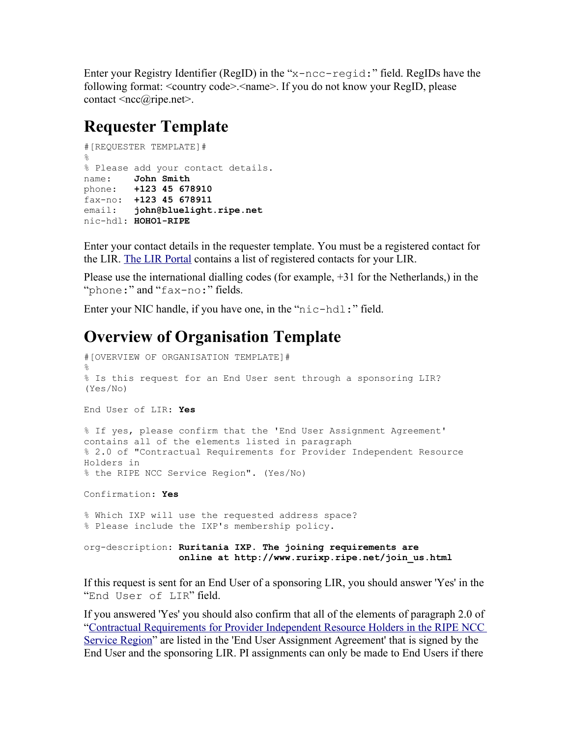Enter your Registry Identifier (RegID) in the "x-ncc-regid:" field. RegIDs have the following format: <country code>.<name>. If you do not know your RegID, please contact  $\langle \text{ncc}(a)$ ripe.net $\rangle$ .

#### <span id="page-1-1"></span>**Requester Template**

```
#[REQUESTER TEMPLATE]#
%
% Please add your contact details.
name: John Smith
phone: +123 45 678910
fax-no: +123 45 678911
email: john@bluelight.ripe.net
nic-hdl: HOHO1-RIPE
```
Enter your contact details in the requester template. You must be a registered contact for the LIR. [The LIR Portal](https://lirportal.ripe.net/) contains a list of registered contacts for your LIR.

Please use the international dialling codes (for example, +31 for the Netherlands,) in the "phone:" and "fax-no:" fields.

Enter your NIC handle, if you have one, in the "nic-hdl:" field.

### <span id="page-1-0"></span>**Overview of Organisation Template**

```
#[OVERVIEW OF ORGANISATION TEMPLATE]#
%
% Is this request for an End User sent through a sponsoring LIR?
(Yes/No)
End User of LIR: Yes
% If yes, please confirm that the 'End User Assignment Agreement'
contains all of the elements listed in paragraph 
% 2.0 of "Contractual Requirements for Provider Independent Resource
Holders in 
% the RIPE NCC Service Region". (Yes/No)
Confirmation: Yes
% Which IXP will use the requested address space? 
% Please include the IXP's membership policy.
org-description: Ruritania IXP. The joining requirements are
                   online at http://www.rurixp.ripe.net/join_us.html
If this request is sent for an End User of a sponsoring LIR, you should answer 'Yes' in the
```
"End User of LIR" field. If you answered 'Yes' you should also confirm that all of the elements of paragraph 2.0 of ["Contractual Requirements for Provider Independent Resource Holders in the RIPE NCC](http://www.ripe.net/ripe/docs/contract-req.html) [Service Region"](http://www.ripe.net/ripe/docs/contract-req.html) are listed in the 'End User Assignment Agreement' that is signed by the

End User and the sponsoring LIR. PI assignments can only be made to End Users if there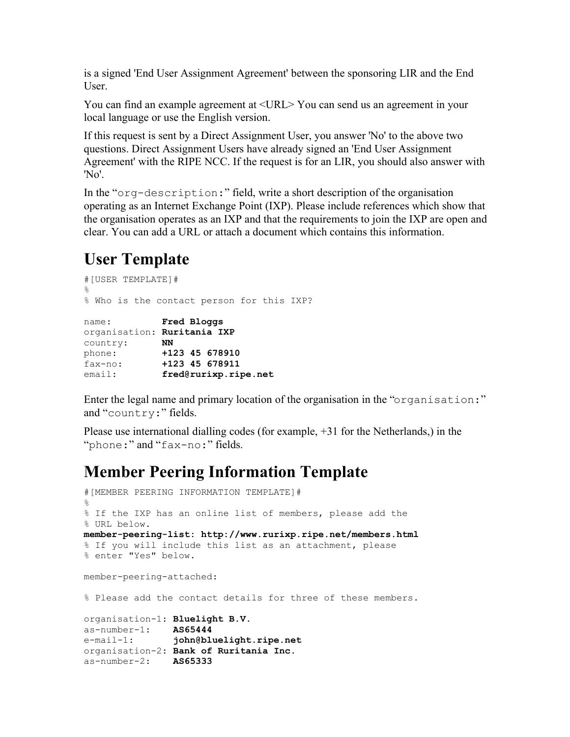is a signed 'End User Assignment Agreement' between the sponsoring LIR and the End User.

You can find an example agreement at <URL> You can send us an agreement in your local language or use the English version.

If this request is sent by a Direct Assignment User, you answer 'No' to the above two questions. Direct Assignment Users have already signed an 'End User Assignment Agreement' with the RIPE NCC. If the request is for an LIR, you should also answer with 'No'.

In the "org-description:" field, write a short description of the organisation operating as an Internet Exchange Point (IXP). Please include references which show that the organisation operates as an IXP and that the requirements to join the IXP are open and clear. You can add a URL or attach a document which contains this information.

### <span id="page-2-1"></span>**User Template**

```
#[USER TEMPLATE]#
%
% Who is the contact person for this IXP?
name: Fred Bloggs
organisation: Ruritania IXP
country: NN
phone: +123 45 678910
fax-no: +123 45 678911
email: fred@rurixp.ripe.net
```
Enter the legal name and primary location of the organisation in the "organisation:" and "country:" fields.

Please use international dialling codes (for example, +31 for the Netherlands,) in the "phone:" and "fax-no:" fields.

### <span id="page-2-0"></span>**Member Peering Information Template**

```
#[MEMBER PEERING INFORMATION TEMPLATE]#
\approx% If the IXP has an online list of members, please add the
% URL below.
member-peering-list: http://www.rurixp.ripe.net/members.html
% If you will include this list as an attachment, please 
% enter "Yes" below. 
member-peering-attached:
% Please add the contact details for three of these members.
organisation-1: Bluelight B.V.
as-number-1: AS65444
e-mail-1: john@bluelight.ripe.net
organisation-2: Bank of Ruritania Inc.
as-number-2: AS65333
```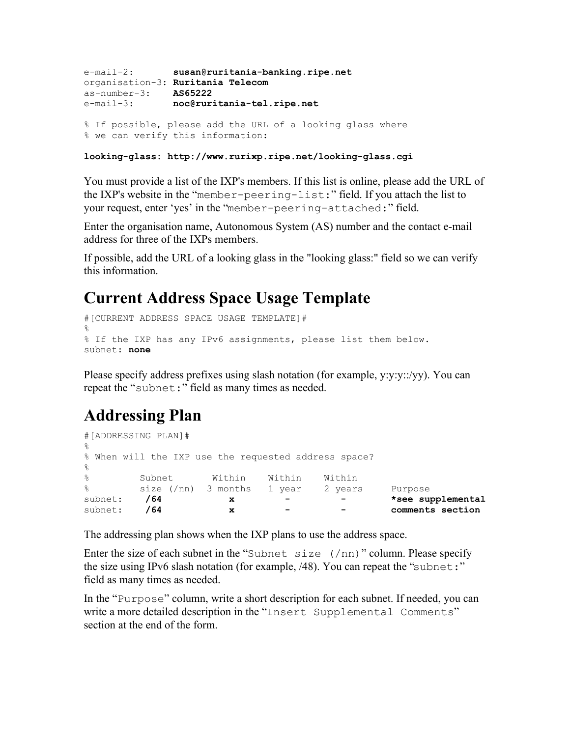```
e-mail-2: susan@ruritania-banking.ripe.net
organisation-3: Ruritania Telecom
as-number-3: AS65222
e-mail-3: noc@ruritania-tel.ripe.net
% If possible, please add the URL of a looking glass where
% we can verify this information:
```
**looking-glass: http://www.rurixp.ripe.net/looking-glass.cgi**

You must provide a list of the IXP's members. If this list is online, please add the URL of the IXP's website in the "member-peering-list:" field. If you attach the list to your request, enter 'yes' in the "member-peering-attached:" field.

Enter the organisation name, Autonomous System (AS) number and the contact e-mail address for three of the IXPs members.

If possible, add the URL of a looking glass in the "looking glass:" field so we can verify this information.

#### <span id="page-3-1"></span>**Current Address Space Usage Template**

```
#[CURRENT ADDRESS SPACE USAGE TEMPLATE]#
%
% If the IXP has any IPv6 assignments, please list them below.
subnet: none
```
Please specify address prefixes using slash notation (for example, y:y:y::/yy). You can repeat the "subnet:" field as many times as needed.

### <span id="page-3-0"></span>**Addressing Plan**

```
#[ADDRESSING PLAN]#
\frac{6}{5}% When will the IXP use the requested address space?
olo olo
     Subnet Within Within Within
% size (/nn) 3 months 1 year 2 years Purpose
subnet: /64 x - - *see supplemental
subnet: /64 x - - comments section
```
The addressing plan shows when the IXP plans to use the address space.

Enter the size of each subnet in the "Subnet size  $(2 \text{ n})$ " column. Please specify the size using IPv6 slash notation (for example, /48). You can repeat the "subnet:" field as many times as needed.

In the "Purpose" column, write a short description for each subnet. If needed, you can write a more detailed description in the "Insert Supplemental Comments" section at the end of the form.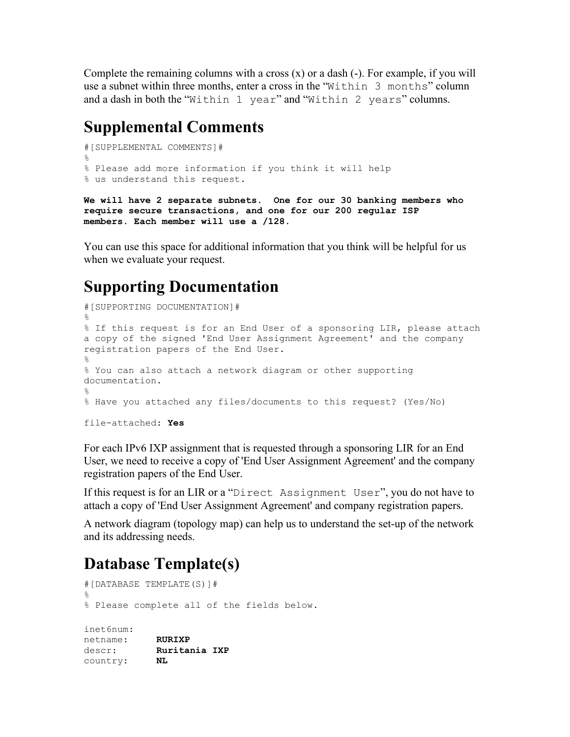Complete the remaining columns with a cross  $(x)$  or a dash  $(-)$ . For example, if you will use a subnet within three months, enter a cross in the "Within 3 months" column and a dash in both the "Within 1 year" and "Within 2 years" columns.

#### <span id="page-4-2"></span>**Supplemental Comments**

```
#[SUPPLEMENTAL COMMENTS]#
%
% Please add more information if you think it will help
% us understand this request.
```
**We will have 2 separate subnets. One for our 30 banking members who require secure transactions, and one for our 200 regular ISP members. Each member will use a /128.** 

You can use this space for additional information that you think will be helpful for us when we evaluate your request.

## <span id="page-4-1"></span>**Supporting Documentation**

```
#[SUPPORTING DOCUMENTATION]#
\approx% If this request is for an End User of a sponsoring LIR, please attach
a copy of the signed 'End User Assignment Agreement' and the company
registration papers of the End User.
%
% You can also attach a network diagram or other supporting
documentation.
%
% Have you attached any files/documents to this request? (Yes/No)
file-attached: Yes
```
For each IPv6 IXP assignment that is requested through a sponsoring LIR for an End User, we need to receive a copy of 'End User Assignment Agreement' and the company registration papers of the End User.

If this request is for an LIR or a "Direct Assignment User", you do not have to attach a copy of 'End User Assignment Agreement' and company registration papers.

A network diagram (topology map) can help us to understand the set-up of the network and its addressing needs.

### <span id="page-4-0"></span>**Database Template(s)**

```
#[DATABASE TEMPLATE(S)]# 
%
% Please complete all of the fields below.
inet6num: 
netname: RURIXP
descr: Ruritania IXP
country: NL
```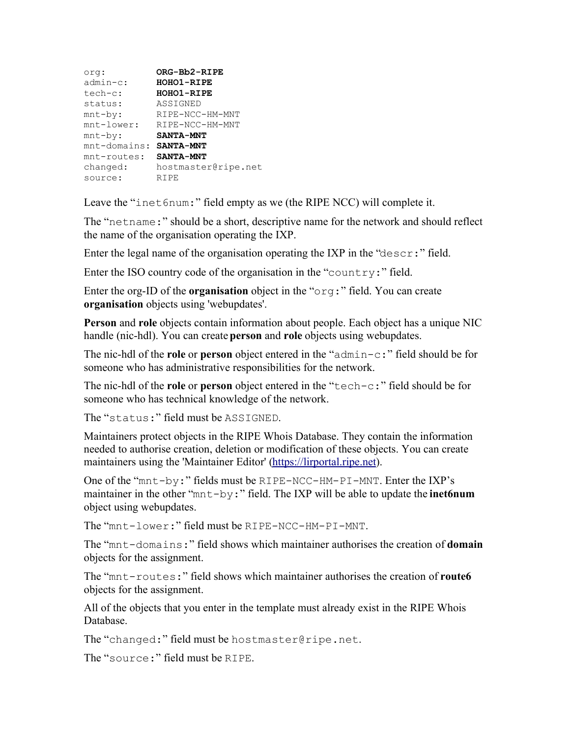| org:            | ORG-Bb2-RIPE        |
|-----------------|---------------------|
| $admin-c$ :     | <b>HOHO1-RIPE</b>   |
| $tech-c$ :      | <b>HOHO1-RIPE</b>   |
| status:         | ASSIGNED            |
| $mnt-by:$       | RIPE-NCC-HM-MNT     |
| $mnt-lower:$    | RIPE-NCC-HM-MNT     |
| $mnt-by:$       | <b>SANTA-MNT</b>    |
| $mnt$ -domains: | <b>SANTA-MNT</b>    |
| mnt-routes:     | <b>SANTA-MNT</b>    |
| changed:        | hostmaster@ripe.net |
| source:         | RIPE                |
|                 |                     |

Leave the "inet6num:" field empty as we (the RIPE NCC) will complete it.

The "netname:" should be a short, descriptive name for the network and should reflect the name of the organisation operating the IXP.

Enter the legal name of the organisation operating the IXP in the "descr:" field.

Enter the ISO country code of the organisation in the "country:" field.

Enter the org-ID of the **organisation** object in the "org:" field. You can create **organisation** objects using 'webupdates'.

**Person** and **role** objects contain information about people. Each object has a unique NIC handle (nic-hdl). You can create **person** and **role** objects using webupdates.

The nic-hdl of the **role** or **person** object entered in the "admin-c:" field should be for someone who has administrative responsibilities for the network.

The nic-hdl of the **role** or **person** object entered in the "tech-c:" field should be for someone who has technical knowledge of the network.

The "status:" field must be ASSIGNED.

Maintainers protect objects in the RIPE Whois Database. They contain the information needed to authorise creation, deletion or modification of these objects. You can create maintainers using the 'Maintainer Editor' [\(https://lirportal.ripe.net\)](https://lirportal.ripe.net/).

One of the "mnt-by:" fields must be RIPE-NCC-HM-PI-MNT. Enter the IXP's maintainer in the other "mnt-by:" field. The IXP will be able to update the **inet6num** object using webupdates.

The "mnt-lower:" field must be RIPE-NCC-HM-PI-MNT.

The "mnt-domains:" field shows which maintainer authorises the creation of **domain** objects for the assignment.

The "mnt-routes:" field shows which maintainer authorises the creation of **route6** objects for the assignment.

All of the objects that you enter in the template must already exist in the RIPE Whois Database.

The "changed:" field must be hostmaster@ripe.net.

The "source:" field must be RIPE.